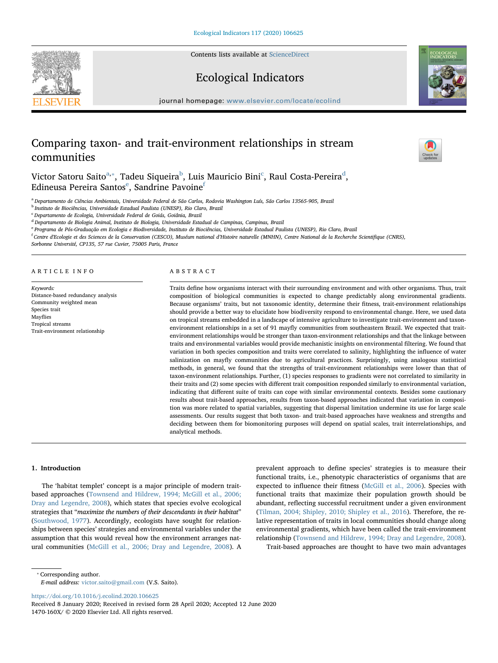Contents lists available at [ScienceDirect](http://www.sciencedirect.com/science/journal/1470160X)







 $\frac{1}{\sqrt{2}}$ 

journal homepage: [www.elsevier.com/locate/ecolind](https://www.elsevier.com/locate/ecolind)

# Comparing taxon- and trait-environment relationships in stream communities

Victor S[a](#page-0-0)toru Saito $^{\mathrm{a},*}$ , Ta[d](#page-0-4)eu Siqueira $^{\mathrm{b}}$  $^{\mathrm{b}}$  $^{\mathrm{b}}$ , Luis Mauri[c](#page-0-3)io Bini $^{\mathrm{c}}$ , Raul Costa-Pereira $^{\mathrm{d}}$ , Edin[e](#page-0-5)usa Pereira Santos<sup>e</sup>, Sandrine Pavoine<sup>[f](#page-0-6)</sup>

<span id="page-0-0"></span><sup>a</sup> Departamento de Ciências Ambientais, Universidade Federal de São Carlos, Rodovia Washington Luís, São Carlos 13565-905, Brazil

<span id="page-0-2"></span><sup>b</sup> Instituto de Biociências, Universidade Estadual Paulista (UNESP), Rio Claro, Brazil

<span id="page-0-3"></span><sup>c</sup> Departamento de Ecologia, Universidade Federal de Goiás, Goiânia, Brazil

<span id="page-0-4"></span><sup>d</sup> Departamento de Biologia Animal, Instituto de Biologia, Universidade Estadual de Campinas, Campinas, Brazil

<span id="page-0-5"></span><sup>e</sup> Programa de Pós-Graduação em Ecologia e Biodiversidade, Instituto de Biociências, Universidade Estadual Paulista (UNESP), Rio Claro, Brazil

<span id="page-0-6"></span>f Centre d'Ecologie et des Sciences de la Conservation (CESCO), Muséum national d'Histoire naturelle (MNHN), Centre National de la Recherche Scientifique (CNRS),

Sorbonne Université, CP135, 57 rue Cuvier, 75005 Paris, France

## ARTICLE INFO

Keywords: Distance-based redundancy analysis Community weighted mean Species trait Mayflies Tropical streams Trait-environment relationship

#### ABSTRACT

Traits define how organisms interact with their surrounding environment and with other organisms. Thus, trait composition of biological communities is expected to change predictably along environmental gradients. Because organisms' traits, but not taxonomic identity, determine their fitness, trait-environment relationships should provide a better way to elucidate how biodiversity respond to environmental change. Here, we used data on tropical streams embedded in a landscape of intensive agriculture to investigate trait-environment and taxonenvironment relationships in a set of 91 mayfly communities from southeastern Brazil. We expected that traitenvironment relationships would be stronger than taxon-environment relationships and that the linkage between traits and environmental variables would provide mechanistic insights on environmental filtering. We found that variation in both species composition and traits were correlated to salinity, highlighting the influence of water salinization on mayfly communities due to agricultural practices. Surprisingly, using analogous statistical methods, in general, we found that the strengths of trait-environment relationships were lower than that of taxon-environment relationships. Further, (1) species responses to gradients were not correlated to similarity in their traits and (2) some species with different trait composition responded similarly to environmental variation, indicating that different suite of traits can cope with similar environmental contexts. Besides some cautionary results about trait-based approaches, results from taxon-based approaches indicated that variation in composition was more related to spatial variables, suggesting that dispersal limitation undermine its use for large scale assessments. Our results suggest that both taxon- and trait-based approaches have weakness and strengths and deciding between them for biomonitoring purposes will depend on spatial scales, trait interrelationships, and analytical methods.

#### 1. Introduction

The 'habitat templet' concept is a major principle of modern traitbased approaches ([Townsend and Hildrew, 1994; McGill et al., 2006;](#page-6-0) [Dray and Legendre, 2008](#page-6-0)), which states that species evolve ecological strategies that "maximize the numbers of their descendants in their habitat" ([Southwood, 1977\)](#page-6-1). Accordingly, ecologists have sought for relationships between species' strategies and environmental variables under the assumption that this would reveal how the environment arranges natural communities ([McGill et al., 2006; Dray and Legendre, 2008\)](#page-6-2). A prevalent approach to define species' strategies is to measure their functional traits, i.e., phenotypic characteristics of organisms that are expected to influence their fitness ([McGill et al., 2006](#page-6-2)). Species with functional traits that maximize their population growth should be abundant, reflecting successful recruitment under a given environment ([Tilman, 2004; Shipley, 2010; Shipley et al., 2016\)](#page-6-3). Therefore, the relative representation of traits in local communities should change along environmental gradients, which have been called the trait-environment relationship ([Townsend and Hildrew, 1994; Dray and Legendre, 2008](#page-6-0)).

Trait-based approaches are thought to have two main advantages

<span id="page-0-1"></span>⁎ Corresponding author.

E-mail address: [victor.saito@gmail.com](mailto:victor.saito@gmail.com) (V.S. Saito).

<https://doi.org/10.1016/j.ecolind.2020.106625>

Received 8 January 2020; Received in revised form 28 April 2020; Accepted 12 June 2020 1470-160X/ © 2020 Elsevier Ltd. All rights reserved.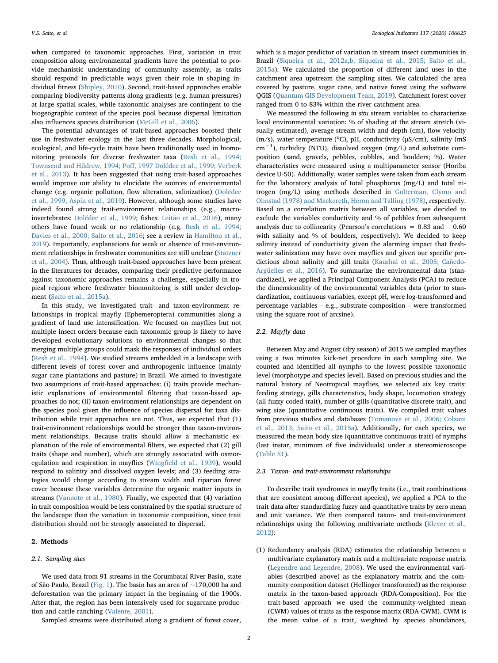when compared to taxonomic approaches. First, variation in trait composition along environmental gradients have the potential to provide mechanistic understanding of community assembly, as traits should respond in predictable ways given their role in shaping individual fitness ([Shipley, 2010\)](#page-6-4). Second, trait-based approaches enable comparing biodiversity patterns along gradients (e.g. human pressures) at large spatial scales, while taxonomic analyses are contingent to the biogeographic context of the species pool because dispersal limitation also influences species distribution ([McGill et al., 2006\)](#page-6-2).

The potential advantages of trait-based approaches boosted their use in freshwater ecology in the last three decades. Morphological, ecological, and life-cycle traits have been traditionally used in biomonitoring protocols for diverse freshwater taxa [\(Resh et al., 1994;](#page-6-5) Townsend and Hildrew, 1994; Poff[, 1997 Dolédec et al., 1999; Verberk](#page-6-5) [et al., 2013](#page-6-5)). It has been suggested that using trait-based approaches would improve our ability to elucidate the sources of environmental change (e.g. organic pollution, flow alteration, salinization) [\(Dolédec](#page-6-6) [et al., 1999, Aspin et al., 2019](#page-6-6)). However, although some studies have indeed found strong trait-environment relationships (e.g., macroinvertebrates: [Dolédec et al., 1999;](#page-6-6) fishes: [Leitão et al., 2016\)](#page-6-7), many others have found weak or no relationship (e.g. [Resh et al., 1994;](#page-6-5) [Davies et al., 2000; Saito et al., 2016;](#page-6-5) see a review in [Hamilton et al.,](#page-6-8) [2019\)](#page-6-8). Importantly, explanations for weak or absence of trait-environment relationships in freshwater communities are still unclear ([Statzner](#page-6-9) [et al., 2004](#page-6-9)). Thus, although trait-based approaches have been present in the literatures for decades, comparing their predictive performance against taxonomic approaches remains a challenge, especially in tropical regions where freshwater biomonitoring is still under development [\(Saito et al., 2015a](#page-6-10)).

In this study, we investigated trait- and taxon-environment relationships in tropical mayfly (Ephemeroptera) communities along a gradient of land use intensification. We focused on mayflies but not multiple insect orders because each taxonomic group is likely to have developed evolutionary solutions to environmental changes so that merging multiple groups could mask the responses of individual orders ([Resh et al., 1994\)](#page-6-5). We studied streams embedded in a landscape with different levels of forest cover and anthropogenic influence (mainly sugar cane plantations and pasture) in Brazil. We aimed to investigate two assumptions of trait-based approaches: (i) traits provide mechanistic explanations of environmental filtering that taxon-based approaches do not; (ii) taxon-environment relationships are dependent on the species pool given the influence of species dispersal for taxa distribution while trait approaches are not. Thus, we expected that (1) trait-environment relationships would be stronger than taxon-environment relationships. Because traits should allow a mechanistic explanation of the role of environmental filters, we expected that (2) gill traits (shape and number), which are strongly associated with osmoregulation and respiration in mayflies (Wingfi[eld et al., 1939](#page-6-11)), would respond to salinity and dissolved oxygen levels; and (3) feeding strategies would change according to stream width and riparian forest cover because these variables determine the organic matter inputs in streams [\(Vannote et al., 1980](#page-6-12)). Finally, we expected that (4) variation in trait composition would be less constrained by the spatial structure of the landscape than the variation in taxonomic composition, since trait distribution should not be strongly associated to dispersal.

#### 2. Methods

#### 2.1. Sampling sites

We used data from 91 streams in the Corumbataí River Basin, state of São Paulo, Brazil ([Fig. 1\)](#page-2-0). The basin has an area of  $\sim$ 170,000 ha and deforestation was the primary impact in the beginning of the 1900s. After that, the region has been intensively used for sugarcane production and cattle ranching ([Valente, 2001](#page-6-13)).

Sampled streams were distributed along a gradient of forest cover,

which is a major predictor of variation in stream insect communities in Brazil [\(Siqueira et al., 2012a,b, Siqueira et al., 2015; Saito et al.,](#page-6-14) [2015a\)](#page-6-14). We calculated the proportion of different land uses in the catchment area upstream the sampling sites. We calculated the area covered by pasture, sugar cane, and native forest using the software QGIS ([Quantum GIS Development Team, 2019](#page-6-15)). Catchment forest cover ranged from 0 to 83% within the river catchment area.

We measured the following in situ stream variables to characterize local environmental variation: % of shading at the stream stretch (visually estimated), average stream width and depth (cm), flow velocity (m/s), water temperature ( $^{\circ}$ C), pH, conductivity ( $\mu$ S/cm), salinity (mS cm−<sup>1</sup> ), turbidity (NTU), dissolved oxygen (mg/L) and substrate composition (sand, gravels, pebbles, cobbles, and boulders; %). Water characteristics were measured using a multiparameter sensor (Horiba device U‐50). Additionally, water samples were taken from each stream for the laboratory analysis of total phosphorus (mg/L) and total nitrogen (mg/L) using methods described in [Golterman, Clymo and](#page-6-16) [Ohnstad \(1978\) and Mackereth, Heron and Talling \(1978\)](#page-6-16), respectively. Based on a correlation matrix between all variables, we decided to exclude the variables conductivity and % of pebbles from subsequent analysis due to collinearity (Pearson's correlations = 0.83 and −0.60 with salinity and % of boulders, respectively). We decided to keep salinity instead of conductivity given the alarming impact that freshwater salinization may have over mayflies and given our specific predictions about salinity and gill traits [\(Kaushal et al., 2005; Cañedo-](#page-6-17)[Argüelles et al., 2016\)](#page-6-17). To summarize the environmental data (standardized), we applied a Principal Component Analysis (PCA) to reduce the dimensionality of the environmental variables data (prior to standardization, continuous variables, except pH, were log-transformed and percentage variables – e.g., substrate composition – were transformed using the square root of arcsine).

## 2.2. Mayfly data

Between May and August (dry season) of 2015 we sampled mayflies using a two minutes kick-net procedure in each sampling site. We counted and identified all nymphs to the lowest possible taxonomic level (morphotype and species level). Based on previous studies and the natural history of Neotropical mayflies, we selected six key traits: feeding strategy, gills characteristics, body shape, locomotion strategy (all fuzzy coded trait), number of gills (quantitative discrete trait), and wing size (quantitative continuous traits). We compiled trait values from previous studies and databases ([Tomanova et al., 2006; Colzani](#page-6-18) [et al., 2013; Saito et al., 2015a](#page-6-18)). Additionally, for each species, we measured the mean body size (quantitative continuous trait) of nymphs (last instar, minimum of five individuals) under a stereomicroscope (Table S1).

#### 2.3. Taxon- and trait-environment relationships

To describe trait syndromes in mayfly traits (i.e., trait combinations that are consistent among different species), we applied a PCA to the trait data after standardizing fuzzy and quantitative traits by zero mean and unit variance. We then compared taxon- and trait-environment relationships using the following multivariate methods [\(Kleyer et al.,](#page-6-19) [2012\)](#page-6-19):

(1) Redundancy analysis (RDA) estimates the relationship between a multivariate explanatory matrix and a multivariate response matrix [\(Legendre and Legendre, 2008\)](#page-6-20). We used the environmental variables (described above) as the explanatory matrix and the community composition dataset (Hellinger transformed) as the response matrix in the taxon-based approach (RDA-Composition). For the trait-based approach we used the community-weighted mean (CWM) values of traits as the response matrix (RDA-CWM). CWM is the mean value of a trait, weighted by species abundances,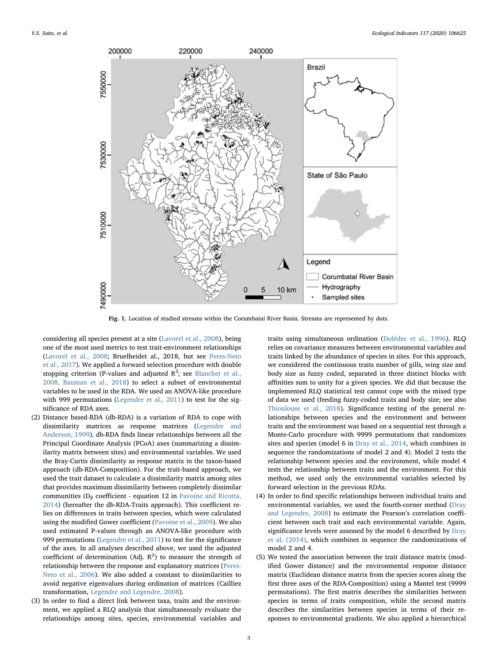<span id="page-2-0"></span>

Fig. 1. Location of studied streams within the Corumbataí River Basin. Streams are represented by dots.

considering all species present at a site [\(Lavorel et al., 2008\)](#page-6-21), being one of the most used metrics to test trait-environment relationships [\(Lavorel et al., 2008;](#page-6-21) Bruelheidet al., 2018, but see [Peres-Neto](#page-6-22) [et al., 2017\)](#page-6-22). We applied a forward selection procedure with double stopping criterion (P-values and adjusted  $R^2$ ; see [Blanchet et al.,](#page-6-23) [2008, Bauman et al., 2018](#page-6-23)) to select a subset of environmental variables to be used in the RDA. We used an ANOVA-like procedure with 999 permutations ([Legendre et al., 2011\)](#page-6-24) to test for the significance of RDA axes.

- (2) Distance based-RDA (db-RDA) is a variation of RDA to cope with dissimilarity matrices as response matrices [\(Legendre and](#page-6-25) [Anderson, 1999](#page-6-25)). db-RDA finds linear relationships between all the Principal Coordinate Analysis (PCoA) axes (summarizing a dissimilarity matrix between sites) and environmental variables. We used the Bray-Curtis dissimilarity as response matrix in the taxon-based approach (db-RDA-Composition). For the trait-based approach, we used the trait dataset to calculate a dissimilarity matrix among sites that provides maximum dissimilarity between completely dissimilar communities ( $D_\beta$  coefficient - equation 12 in [Pavoine and Ricotta,](#page-6-26) [2014](#page-6-26)) (hereafter the db-RDA-Traits approach). This coefficient relies on differences in traits between species, which were calculated using the modified Gower coefficient [\(Pavoine et al., 2009](#page-6-27)). We also used estimated P-values through an ANOVA-like procedure with 999 permutations ([Legendre et al., 2011\)](#page-6-24) to test for the significance of the axes. In all analyses described above, we used the adjusted coefficient of determination (Adj.  $R^2$ ) to measure the strength of relationship between the response and explanatory matrices [\(Peres-](#page-6-28)[Neto et al., 2006](#page-6-28)). We also added a constant to dissimilarities to avoid negative eigenvalues during ordination of matrices (Cailliez transformation, [Legendre and Legendre, 2008](#page-6-20)).
- (3) In order to find a direct link between taxa, traits and the environment, we applied a RLQ analysis that simultaneously evaluate the relationships among sites, species, environmental variables and

traits using simultaneous ordination ([Dolédec et al., 1996](#page-6-29)). RLQ relies on covariance measures between environmental variables and traits linked by the abundance of species in sites. For this approach, we considered the continuous traits number of gills, wing size and body size as fuzzy coded, separated in three distinct blocks with affinities sum to unity for a given species. We did that because the implemented RLQ statistical test cannot cope with the mixed type of data we used (feeding fuzzy-coded traits and body size; see also [Thioulouse et al., 2018](#page-6-30)). Significance testing of the general relationships between species and the environment and between traits and the environment was based on a sequential test through a Monte-Carlo procedure with 9999 permutations that randomizes sites and species (model 6 in [Dray et al., 2014,](#page-6-31) which combines in sequence the randomizations of model 2 and 4). Model 2 tests the relationship between species and the environment, while model 4 tests the relationship between traits and the environment. For this method, we used only the environmental variables selected by forward selection in the previous RDAs.

- (4) In order to find specific relationships between individual traits and environmental variables, we used the fourth-corner method ([Dray](#page-6-32) [and Legendre, 2008\)](#page-6-32) to estimate the Pearson's correlation coefficient between each trait and each environmental variable. Again, significance levels were assessed by the model 6 described by [Dray](#page-6-31) [et al. \(2014\)](#page-6-31), which combines in sequence the randomizations of model 2 and 4.
- (5) We tested the association between the trait distance matrix (modified Gower distance) and the environmental response distance matrix (Euclidean distance matrix from the species scores along the first three axes of the RDA-Composition) using a Mantel test (9999 permutations). The first matrix describes the similarities between species in terms of traits composition, while the second matrix describes the similarities between species in terms of their responses to environmental gradients. We also applied a hierarchical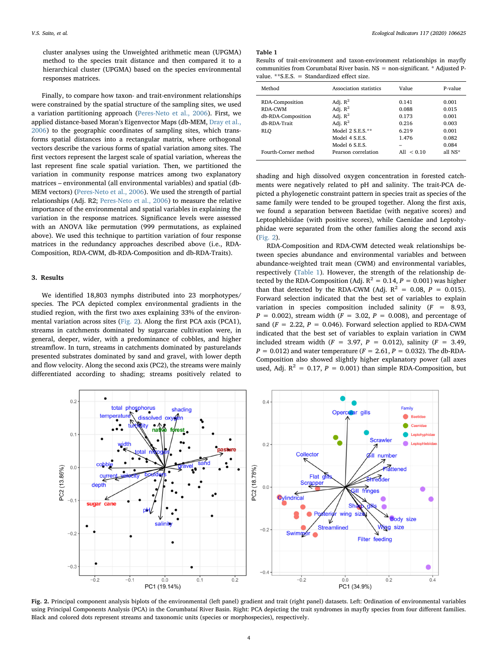cluster analyses using the Unweighted arithmetic mean (UPGMA) method to the species trait distance and then compared it to a hierarchical cluster (UPGMA) based on the species environmental responses matrices.

Finally, to compare how taxon- and trait-environment relationships were constrained by the spatial structure of the sampling sites, we used a variation partitioning approach ([Peres-Neto et al., 2006](#page-6-28)). First, we applied distance-based Moran's Eigenvector Maps (db-MEM, [Dray et al.,](#page-6-33) [2006\)](#page-6-33) to the geographic coordinates of sampling sites, which transforms spatial distances into a rectangular matrix, where orthogonal vectors describe the various forms of spatial variation among sites. The first vectors represent the largest scale of spatial variation, whereas the last represent fine scale spatial variation. Then, we partitioned the variation in community response matrices among two explanatory matrices – environmental (all environmental variables) and spatial (db-MEM vectors) ([Peres-Neto et al., 2006](#page-6-28)). We used the strength of partial relationships (Adj. R2; [Peres-Neto et al., 2006\)](#page-6-28) to measure the relative importance of the environmental and spatial variables in explaining the variation in the response matrices. Significance levels were assessed with an ANOVA like permutation (999 permutations, as explained above). We used this technique to partition variation of four response matrices in the redundancy approaches described above (i.e., RDA-Composition, RDA-CWM, db-RDA-Composition and db-RDA-Traits).

### 3. Results

We identified 18,803 nymphs distributed into 23 morphotypes/ species. The PCA depicted complex environmental gradients in the studied region, with the first two axes explaining 33% of the environmental variation across sites ([Fig. 2\)](#page-3-0). Along the first PCA axis (PCA1), streams in catchments dominated by sugarcane cultivation were, in general, deeper, wider, with a predominance of cobbles, and higher streamflow. In turn, streams in catchments dominated by pasturelands presented substrates dominated by sand and gravel, with lower depth and flow velocity. Along the second axis (PC2), the streams were mainly differentiated according to shading; streams positively related to

#### <span id="page-3-1"></span>Table 1

Results of trait-environment and taxon-environment relationships in mayfly communities from Corumbataí River basin. NS = non-significant. \* Adjusted Pvalue. \*\*S.E.S.  $=$  Standardized effect size.

| Method               | Association statistics | Value        | P-value |
|----------------------|------------------------|--------------|---------|
| RDA-Composition      | Adj. $R^2$             | 0.141        | 0.001   |
| RDA-CWM              | Adj. $R^2$             | 0.088        | 0.015   |
| db-RDA-Composition   | Adj. $R^2$             | 0.173        | 0.001   |
| db-RDA-Trait         | Adj. $R^2$             | 0.216        | 0.003   |
| <b>RLO</b>           | Model $2$ S.E.S.**     | 6.219        | 0.001   |
|                      | Model 4 S.E.S.         | 1.476        | 0.082   |
|                      | Model 6 S.E.S.         | -            | 0.084   |
| Fourth-Corner method | Pearson correlation    | All $< 0.10$ | all NS* |

shading and high dissolved oxygen concentration in forested catchments were negatively related to pH and salinity. The trait-PCA depicted a phylogenetic constraint pattern in species trait as species of the same family were tended to be grouped together. Along the first axis, we found a separation between Baetidae (with negative scores) and Leptophlebiidae (with positive scores), while Caenidae and Leptohyphidae were separated from the other families along the second axis ([Fig. 2\)](#page-3-0).

RDA-Composition and RDA-CWM detected weak relationships between species abundance and environmental variables and between abundance-weighted trait mean (CWM) and environmental variables, respectively [\(Table 1\)](#page-3-1). However, the strength of the relationship detected by the RDA-Composition (Adj.  $R^2 = 0.14$ ,  $P = 0.001$ ) was higher than that detected by the RDA-CWM (Adj.  $R^2 = 0.08$ ,  $P = 0.015$ ). Forward selection indicated that the best set of variables to explain variation in species composition included salinity  $(F = 8.93,$  $P = 0.002$ ), stream width  $(F = 3.02, P = 0.008)$ , and percentage of sand  $(F = 2.22, P = 0.046)$ . Forward selection applied to RDA-CWM indicated that the best set of variables to explain variation in CWM included stream width  $(F = 3.97, P = 0.012)$ , salinity  $(F = 3.49,$  $P = 0.012$ ) and water temperature ( $F = 2.61$ ,  $P = 0.032$ ). The db-RDA-Composition also showed slightly higher explanatory power (all axes used, Adj.  $R^2 = 0.17$ ,  $P = 0.001$ ) than simple RDA-Composition, but

<span id="page-3-0"></span>

Fig. 2. Principal component analysis biplots of the environmental (left panel) gradient and trait (right panel) datasets. Left: Ordination of environmental variables using Principal Components Analysis (PCA) in the Corumbataí River Basin. Right: PCA depicting the trait syndromes in mayfly species from four different families. Black and colored dots represent streams and taxonomic units (species or morphospecies), respectively.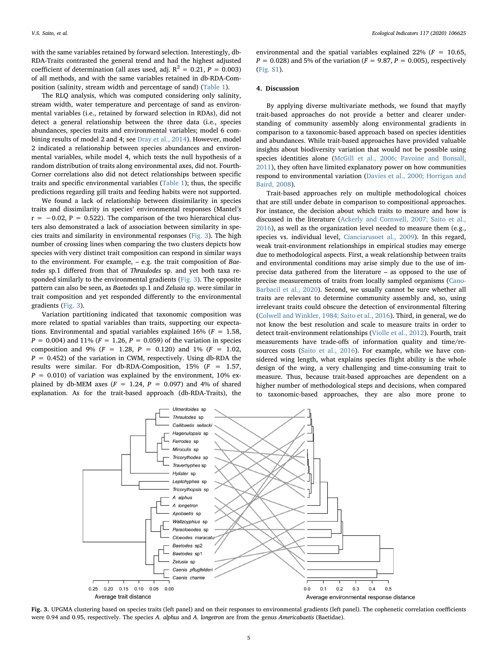with the same variables retained by forward selection. Interestingly, db-RDA-Traits contrasted the general trend and had the highest adjusted coefficient of determination (all axes used, adj.  $R^2 = 0.21$ ,  $P = 0.003$ ) of all methods, and with the same variables retained in db-RDA-Composition (salinity, stream width and percentage of sand) [\(Table 1\)](#page-3-1).

The RLQ analysis, which was computed considering only salinity, stream width, water temperature and percentage of sand as environmental variables (i.e., retained by forward selection in RDAs), did not detect a general relationship between the three data (i.e., species abundances, species traits and environmental variables; model 6 combining results of model 2 and 4; see [Dray et al., 2014](#page-6-31)). However, model 2 indicated a relationship between species abundances and environmental variables, while model 4, which tests the null hypothesis of a random distribution of traits along environmental axes, did not. Fourth-Corner correlations also did not detect relationships between specific traits and specific environmental variables [\(Table 1\)](#page-3-1); thus, the specific predictions regarding gill traits and feeding habits were not supported.

We found a lack of relationship between dissimilarity in species traits and dissimilarity in species' environmental responses (Mantel's  $r = -0.02$ ,  $P = 0.522$ ). The comparison of the two hierarchical clusters also demonstrated a lack of association between similarity in species traits and similarity in environmental responses ([Fig. 3](#page-4-0)). The high number of crossing lines when comparing the two clusters depicts how species with very distinct trait composition can respond in similar ways to the environment. For example, – e.g. the trait composition of Baetodes sp.1 differed from that of Thraulodes sp. and yet both taxa responded similarly to the environmental gradients [\(Fig. 3](#page-4-0)). The opposite pattern can also be seen, as Baetodes sp.1 and Zelusia sp. were similar in trait composition and yet responded differently to the environmental gradients ([Fig. 3](#page-4-0)).

Variation partitioning indicated that taxonomic composition was more related to spatial variables than traits, supporting our expectations. Environmental and spatial variables explained 16% ( $F = 1.58$ ,  $P = 0.004$ ) and 11% ( $F = 1.26$ ,  $P = 0.059$ ) of the variation in species composition and 9% ( $F = 1.28$ ,  $P = 0.120$ ) and 1% ( $F = 1.02$ ,  $P = 0.452$ ) of the variation in CWM, respectively. Using db-RDA the results were similar. For db-RDA-Composition,  $15\%$  ( $F = 1.57$ ,  $P = 0.010$ ) of variation was explained by the environment, 10% explained by db-MEM axes ( $F = 1.24$ ,  $P = 0.097$ ) and 4% of shared explanation. As for the trait-based approach (db-RDA-Traits), the

environmental and the spatial variables explained  $22\%$  ( $F = 10.65$ ,  $P = 0.028$ ) and 5% of the variation ( $F = 9.87$ ,  $P = 0.005$ ), respectively (Fig. S1).

#### 4. Discussion

By applying diverse multivariate methods, we found that mayfly trait-based approaches do not provide a better and clearer understanding of community assembly along environmental gradients in comparison to a taxonomic-based approach based on species identities and abundances. While trait-based approaches have provided valuable insights about biodiversity variation that would not be possible using species identities alone [\(McGill et al., 2006; Pavoine and Bonsall,](#page-6-2) [2011\)](#page-6-2), they often have limited explanatory power on how communities respond to environmental variation ([Davies et al., 2000; Horrigan and](#page-6-34) [Baird, 2008](#page-6-34)).

Trait-based approaches rely on multiple methodological choices that are still under debate in comparison to compositional approaches. For instance, the decision about which traits to measure and how is discussed in the literature [\(Ackerly and Cornwell, 2007; Saito et al.,](#page-5-0) [2016\)](#page-5-0), as well as the organization level needed to measure them (e.g., species vs. individual level, [Cianciarusoet al., 2009\)](#page-6-35). In this regard, weak trait-environment relationships in empirical studies may emerge due to methodological aspects. First, a weak relationship between traits and environmental conditions may arise simply due to the use of imprecise data gathered from the literature – as opposed to the use of precise measurements of traits from locally sampled organisms [\(Cano-](#page-6-36)[Barbacil et al., 2020](#page-6-36)). Second, we usually cannot be sure whether all traits are relevant to determine community assembly and, so, using irrelevant traits could obscure the detection of environmental filtering ([Colwell and Winkler, 1984; Saito et al., 2016\)](#page-6-37). Third, in general, we do not know the best resolution and scale to measure traits in order to detect trait-environment relationships [\(Violle et al., 2012](#page-6-38)). Fourth, trait measurements have trade-offs of information quality and time/resources costs [\(Saito et al., 2016\)](#page-6-39). For example, while we have considered wing length, what explains species flight ability is the whole design of the wing, a very challenging and time-consuming trait to measure. Thus, because trait-based approaches are dependent on a higher number of methodological steps and decisions, when compared to taxonomic-based approaches, they are also more prone to

<span id="page-4-0"></span>

Fig. 3. UPGMA clustering based on species traits (left panel) and on their responses to environmental gradients (left panel). The cophenetic correlation coefficients were 0.94 and 0.95, respectively. The species A. alphus and A. longetron are from the genus Americabaetis (Baetidae).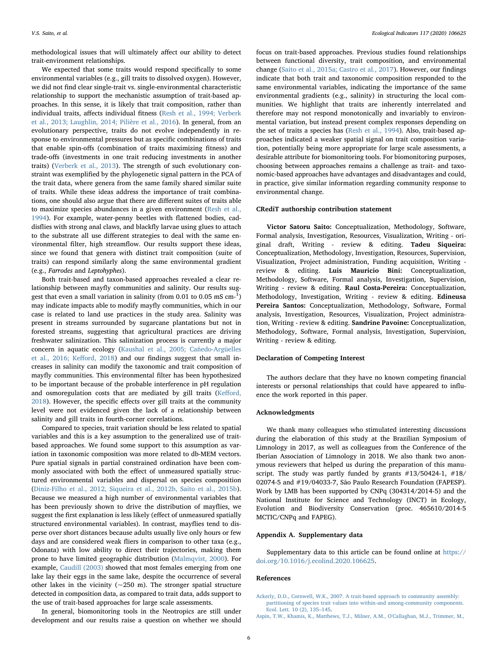methodological issues that will ultimately affect our ability to detect trait-environment relationships.

We expected that some traits would respond specifically to some environmental variables (e.g., gill traits to dissolved oxygen). However, we did not find clear single-trait vs. single-environmental characteristic relationship to support the mechanistic assumption of trait-based approaches. In this sense, it is likely that trait composition, rather than individual traits, affects individual fitness ([Resh et al., 1994; Verberk](#page-6-5) [et al., 2013; Laughlin, 2014; Pilière et al., 2016\)](#page-6-5). In general, from an evolutionary perspective, traits do not evolve independently in response to environmental pressures but as specific combinations of traits that enable spin-offs (combination of traits maximizing fitness) and trade-offs (investments in one trait reducing investments in another traits) [\(Verberk et al., 2013\)](#page-6-40). The strength of such evolutionary constraint was exemplified by the phylogenetic signal pattern in the PCA of the trait data, where genera from the same family shared similar suite of traits. While these ideas address the importance of trait combinations, one should also argue that there are different suites of traits able to maximize species abundances in a given environment [\(Resh et al.,](#page-6-5) [1994\)](#page-6-5). For example, water-penny beetles with flattened bodies, caddisflies with strong anal claws, and blackfly larvae using glues to attach to the substrate all use different strategies to deal with the same environmental filter, high streamflow. Our results support these ideas, since we found that genera with distinct trait composition (suite of traits) can respond similarly along the same environmental gradient (e.g., Farrodes and Leptohyphes).

Both trait-based and taxon-based approaches revealed a clear relationship between mayfly communities and salinity. Our results suggest that even a small variation in salinity (from 0.01 to 0.05 mS  $\rm cm^{-1})$ may indicate impacts able to modify mayfly communities, which in our case is related to land use practices in the study area. Salinity was present in streams surrounded by sugarcane plantations but not in forested streams, suggesting that agricultural practices are driving freshwater salinization. This salinization process is currently a major concern in aquatic ecology ([Kaushal et al., 2005; Cañedo-Argüelles](#page-6-17) [et al., 2016; Ke](#page-6-17)fford, 2018) and our findings suggest that small increases in salinity can modify the taxonomic and trait composition of mayfly communities. This environmental filter has been hypothesized to be important because of the probable interference in pH regulation and osmoregulation costs that are mediated by gill traits (Keff[ord,](#page-6-41) [2018\)](#page-6-41). However, the specific effects over gill traits at the community level were not evidenced given the lack of a relationship between salinity and gill traits in fourth-corner correlations.

Compared to species, trait variation should be less related to spatial variables and this is a key assumption to the generalized use of traitbased approaches. We found some support to this assumption as variation in taxonomic composition was more related to db-MEM vectors. Pure spatial signals in partial constrained ordination have been commonly associated with both the effect of unmeasured spatially structured environmental variables and dispersal on species composition ([Diniz-Filho et al., 2012, Siqueira et al., 2012b, Saito et al., 2015b](#page-6-42)). Because we measured a high number of environmental variables that has been previously shown to drive the distribution of mayflies, we suggest the first explanation is less likely (effect of unmeasured spatially structured environmental variables). In contrast, mayflies tend to disperse over short distances because adults usually live only hours or few days and are considered weak fliers in comparison to other taxa (e.g., Odonata) with low ability to direct their trajectories, making them prone to have limited geographic distribution [\(Malmqvist, 2000\)](#page-6-43). For example, [Caudill \(2003\)](#page-6-44) showed that most females emerging from one lake lay their eggs in the same lake, despite the occurrence of several other lakes in the vicinity ( $\sim$ 250 m). The stronger spatial structure detected in composition data, as compared to trait data, adds support to the use of trait-based approaches for large scale assessments.

In general, biomonitoring tools in the Neotropics are still under development and our results raise a question on whether we should

focus on trait-based approaches. Previous studies found relationships between functional diversity, trait composition, and environmental change ([Saito et al., 2015a; Castro et al., 2017](#page-6-10)). However, our findings indicate that both trait and taxonomic composition responded to the same environmental variables, indicating the importance of the same environmental gradients (e.g., salinity) in structuring the local communities. We highlight that traits are inherently interrelated and therefore may not respond monotonically and invariably to environmental variation, but instead present complex responses depending on the set of traits a species has ([Resh et al., 1994\)](#page-6-5). Also, trait-based approaches indicated a weaker spatial signal on trait composition variation, potentially being more appropriate for large scale assessments, a desirable attribute for biomonitoring tools. For biomonitoring purposes, choosing between approaches remains a challenge as trait- and taxonomic-based approaches have advantages and disadvantages and could, in practice, give similar information regarding community response to environmental change.

#### CRediT authorship contribution statement

Victor Satoru Saito: Conceptualization, Methodology, Software, Formal analysis, Investigation, Resources, Visualization, Writing - original draft, Writing - review & editing. Tadeu Siqueira: Conceptualization, Methodology, Investigation, Resources, Supervision, Visualization, Project administration, Funding acquisition, Writing review & editing. Luis Mauricio Bini: Conceptualization, Methodology, Software, Formal analysis, Investigation, Supervision, Writing - review & editing. Raul Costa-Pereira: Conceptualization, Methodology, Investigation, Writing - review & editing. Edineusa Pereira Santos: Conceptualization, Methodology, Software, Formal analysis, Investigation, Resources, Visualization, Project administration, Writing - review & editing. Sandrine Pavoine: Conceptualization, Methodology, Software, Formal analysis, Investigation, Supervision, Writing - review & editing.

## Declaration of Competing Interest

The authors declare that they have no known competing financial interests or personal relationships that could have appeared to influence the work reported in this paper.

## Acknowledgments

We thank many colleagues who stimulated interesting discussions during the elaboration of this study at the Brazilian Symposium of Limnology in 2017, as well as colleagues from the Conference of the Iberian Association of Limnology in 2018. We also thank two anonymous reviewers that helped us during the preparation of this manuscript. The study was partly funded by grants #13/50424-1, #18/ 02074-5 and #19/04033-7, São Paulo Research Foundation (FAPESP). Work by LMB has been supported by CNPq (304314/2014-5) and the National Institute for Science and Technology (INCT) in Ecology, Evolution and Biodiversity Conservation (proc. 465610/2014-5 MCTIC/CNPq and FAPEG).

## Appendix A. Supplementary data

Supplementary data to this article can be found online at [https://](https://doi.org/10.1016/j.ecolind.2020.106625) [doi.org/10.1016/j.ecolind.2020.106625](https://doi.org/10.1016/j.ecolind.2020.106625).

#### References

<span id="page-5-0"></span>[Ackerly, D.D., Cornwell, W.K., 2007. A trait-based approach to community assembly:](http://refhub.elsevier.com/S1470-160X(20)30562-8/h0005) [partitioning of species trait values into within-and among-community components.](http://refhub.elsevier.com/S1470-160X(20)30562-8/h0005) [Ecol. Lett. 10 \(2\), 135](http://refhub.elsevier.com/S1470-160X(20)30562-8/h0005)–145.

[Aspin, T.W., Khamis, K., Matthews, T.J., Milner, A.M., O'Callaghan, M.J., Trimmer, M.,](http://refhub.elsevier.com/S1470-160X(20)30562-8/h0010)